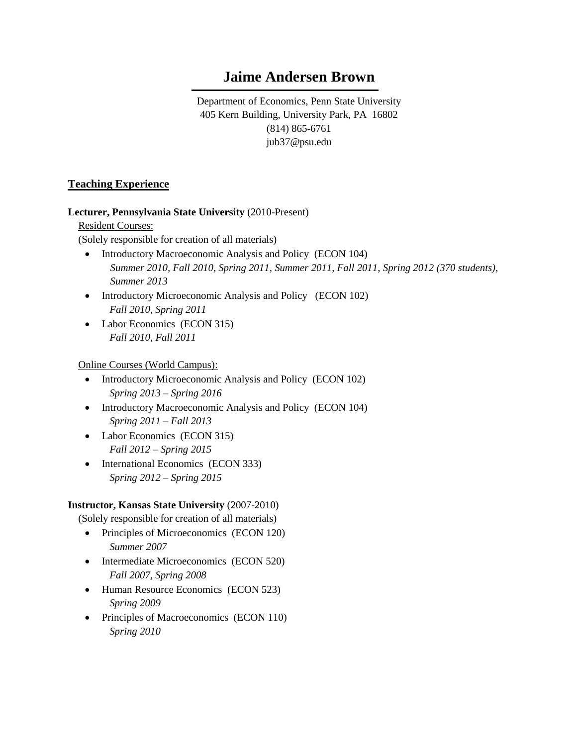# **Jaime Andersen Brown**

Department of Economics, Penn State University 405 Kern Building, University Park, PA 16802 (814) 865-6761 jub37@psu.edu

# **Teaching Experience**

#### **Lecturer, Pennsylvania State University** (2010-Present)

Resident Courses:

(Solely responsible for creation of all materials)

- Introductory Macroeconomic Analysis and Policy (ECON 104) *Summer 2010, Fall 2010, Spring 2011, Summer 2011, Fall 2011, Spring 2012 (370 students), Summer 2013*
- Introductory Microeconomic Analysis and Policy (ECON 102)  *Fall 2010, Spring 2011*
- Labor Economics (ECON 315) *Fall 2010, Fall 2011*

### **Online Courses (World Campus):**

- Introductory Microeconomic Analysis and Policy (ECON 102) *Spring 2013 – Spring 2016*
- Introductory Macroeconomic Analysis and Policy (ECON 104) *Spring 2011 – Fall 2013*
- Labor Economics (ECON 315) *Fall 2012 – Spring 2015*
- International Economics (ECON 333) *Spring 2012 – Spring 2015*

## **Instructor, Kansas State University** (2007-2010)

(Solely responsible for creation of all materials)

- Principles of Microeconomics (ECON 120) *Summer 2007*
- Intermediate Microeconomics (ECON 520) *Fall 2007, Spring 2008*
- Human Resource Economics (ECON 523) *Spring 2009*
- Principles of Macroeconomics (ECON 110) *Spring 2010*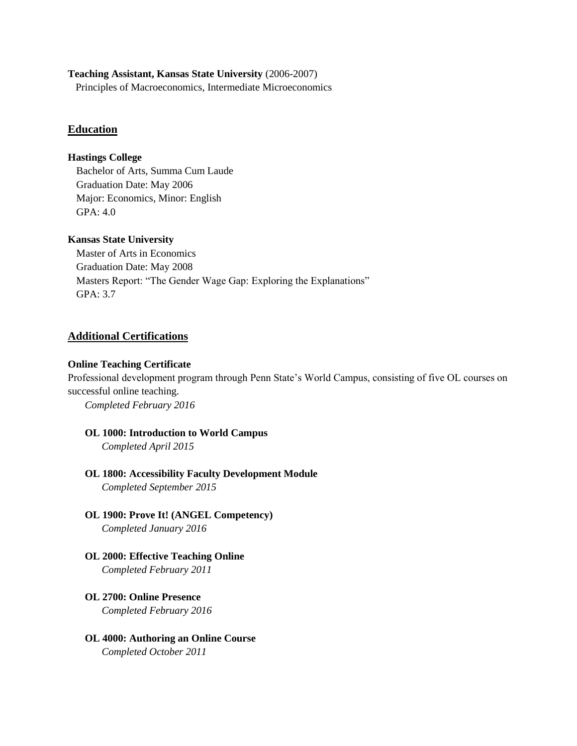#### **Teaching Assistant, Kansas State University** (2006-2007)

Principles of Macroeconomics, Intermediate Microeconomics

#### **Education**

#### **Hastings College**

Bachelor of Arts, Summa Cum Laude Graduation Date: May 2006 Major: Economics, Minor: English GPA: 4.0

#### **Kansas State University**

Master of Arts in Economics Graduation Date: May 2008 Masters Report: "The Gender Wage Gap: Exploring the Explanations" GPA: 3.7

## **Additional Certifications**

#### **Online Teaching Certificate**

Professional development program through Penn State's World Campus, consisting of five OL courses on successful online teaching. *Completed February 2016*

## **OL 1000: Introduction to World Campus**

*Completed April 2015*

#### **OL 1800: Accessibility Faculty Development Module** *Completed September 2015*

- **OL 1900: Prove It! (ANGEL Competency)** *Completed January 2016*
- **OL 2000: Effective Teaching Online** *Completed February 2011*
- **OL 2700: Online Presence** *Completed February 2016*
- **OL 4000: Authoring an Online Course** *Completed October 2011*